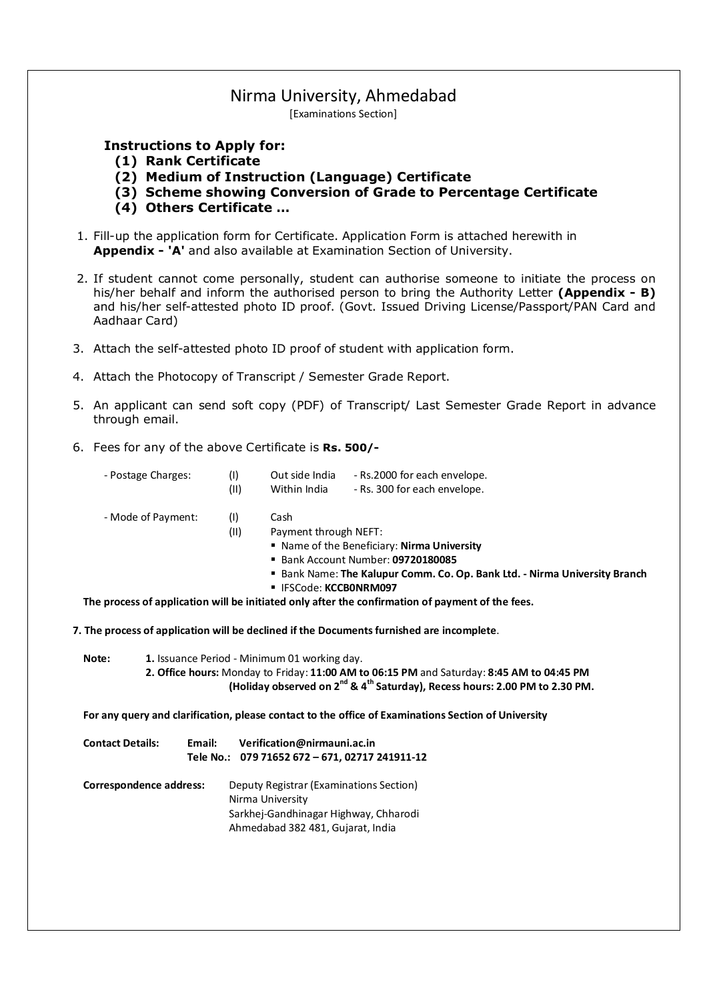## Nirma University, Ahmedabad

[Examinations Section]

## **Instructions to Apply for:**

- **(1) Rank Certificate**
- **(2) Medium of Instruction (Language) Certificate**
- **(3) Scheme showing Conversion of Grade to Percentage Certificate**
- **(4) Others Certificate …**
- 1. Fill-up the application form for Certificate. Application Form is attached herewith in **Appendix - 'A'** and also available at Examination Section of University.
- 2. If student cannot come personally, student can authorise someone to initiate the process on his/her behalf and inform the authorised person to bring the Authority Letter **(Appendix - B)** and his/her self-attested photo ID proof. (Govt. Issued Driving License/Passport/PAN Card and Aadhaar Card)
- 3. Attach the self-attested photo ID proof of student with application form.
- 4. Attach the Photocopy of Transcript / Semester Grade Report.
- 5. An applicant can send soft copy (PDF) of Transcript/ Last Semester Grade Report in advance through email.
- 6. Fees for any of the above Certificate is **Rs. 500/-**

| - Postage Charges: | (1)  | Out side India | - Rs.2000 for each envelope. |
|--------------------|------|----------------|------------------------------|
|                    | (II) | Within India   | - Rs. 300 for each envelope. |

- Mode of Payment: (I) Cash
	- (II) Payment through NEFT:
		- Name of the Beneficiary: **Nirma University**
		- Bank Account Number: **09720180085**
		- Bank Name: **The Kalupur Comm. Co. Op. Bank Ltd. Nirma University Branch**
		- IFSCode: **KCCB0NRM097**

**The process of application will be initiated only after the confirmation of payment of the fees.**

**7. The process of application will be declined if the Documents furnished are incomplete**.

**Note: 1.** Issuance Period - Minimum 01 working day.

**2. Office hours:** Monday to Friday: **11:00 AM to 06:15 PM** and Saturday: **8:45 AM to 04:45 PM (Holiday observed on 2nd & 4th Saturday), Recess hours: 2.00 PM to 2.30 PM.**

**For any query and clarification, please contact to the office of Examinations Section of University**

- **Contact Details: Email: Verification@nirmauni.ac.in Tele No.: 079 71652 672 – 671, 02717 241911-12**
- **Correspondence address:** Deputy Registrar (Examinations Section) Nirma University Sarkhej-Gandhinagar Highway, Chharodi Ahmedabad 382 481, Gujarat, India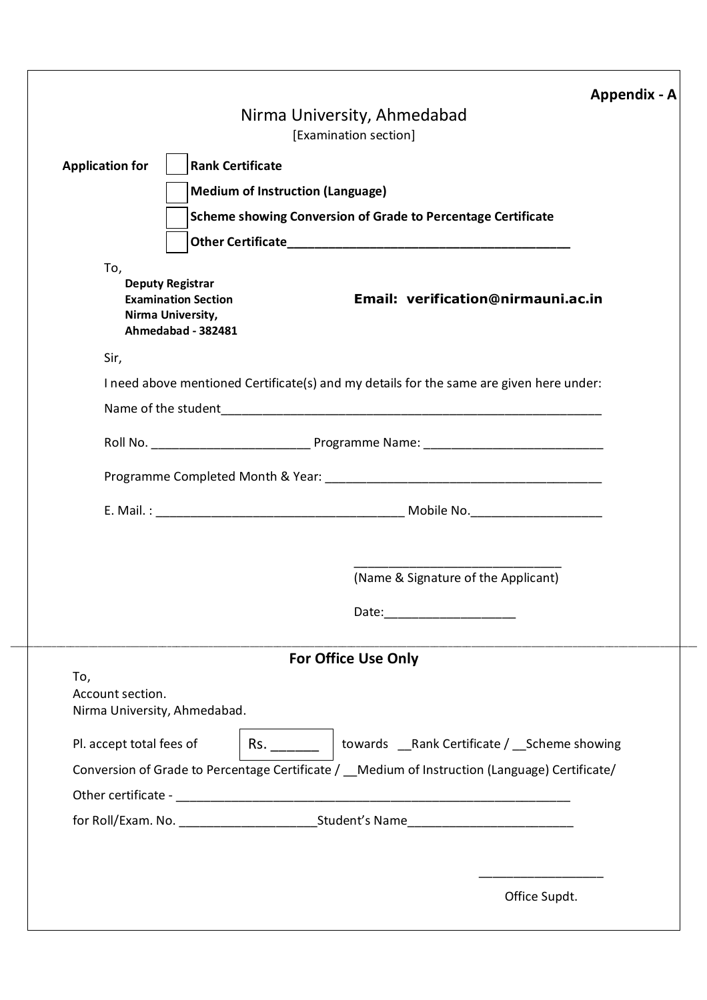|                                                         | Appendix - A<br>Nirma University, Ahmedabad                                                                                            |
|---------------------------------------------------------|----------------------------------------------------------------------------------------------------------------------------------------|
|                                                         | [Examination section]                                                                                                                  |
| <b>Application for</b>                                  | <b>Rank Certificate</b>                                                                                                                |
|                                                         | <b>Medium of Instruction (Language)</b>                                                                                                |
|                                                         | <b>Scheme showing Conversion of Grade to Percentage Certificate</b>                                                                    |
|                                                         |                                                                                                                                        |
| To,                                                     | <b>Deputy Registrar</b><br>Email: verification@nirmauni.ac.in<br><b>Examination Section</b><br>Nirma University,<br>Ahmedabad - 382481 |
| Sir,                                                    | I need above mentioned Certificate(s) and my details for the same are given here under:                                                |
|                                                         |                                                                                                                                        |
|                                                         |                                                                                                                                        |
|                                                         |                                                                                                                                        |
|                                                         |                                                                                                                                        |
|                                                         |                                                                                                                                        |
|                                                         |                                                                                                                                        |
|                                                         | (Name & Signature of the Applicant)                                                                                                    |
|                                                         | Date: ______________________                                                                                                           |
|                                                         | <b>For Office Use Only</b>                                                                                                             |
| To,<br>Account section.<br>Nirma University, Ahmedabad. |                                                                                                                                        |
| Pl. accept total fees of                                | Rs. _________   towards __Rank Certificate / __Scheme showing                                                                          |
|                                                         | Conversion of Grade to Percentage Certificate / _ Medium of Instruction (Language) Certificate/                                        |
|                                                         |                                                                                                                                        |
|                                                         |                                                                                                                                        |
|                                                         |                                                                                                                                        |
|                                                         |                                                                                                                                        |